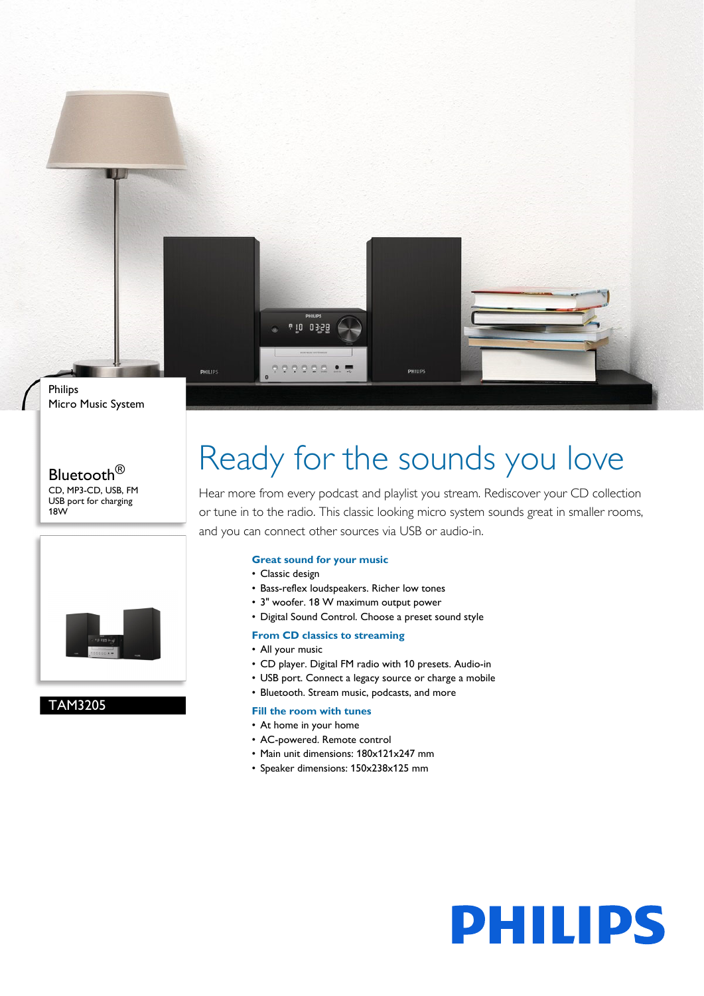

### Bluetooth<sup>®</sup> CD, MP3-CD, USB, FM USB port for charging 18W



## TAM3205

# Ready for the sounds you love

Hear more from every podcast and playlist you stream. Rediscover your CD collection or tune in to the radio. This classic looking micro system sounds great in smaller rooms, and you can connect other sources via USB or audio-in.

### **Great sound for your music**

- Classic design
- Bass-reflex loudspeakers. Richer low tones
- 3" woofer. 18 W maximum output power
- Digital Sound Control. Choose a preset sound style

## **From CD classics to streaming**

- All your music
- CD player. Digital FM radio with 10 presets. Audio-in
- USB port. Connect a legacy source or charge a mobile
- Bluetooth. Stream music, podcasts, and more

#### **Fill the room with tunes**

- At home in your home
- AC-powered. Remote control
- Main unit dimensions: 180x121x247 mm
- Speaker dimensions: 150x238x125 mm